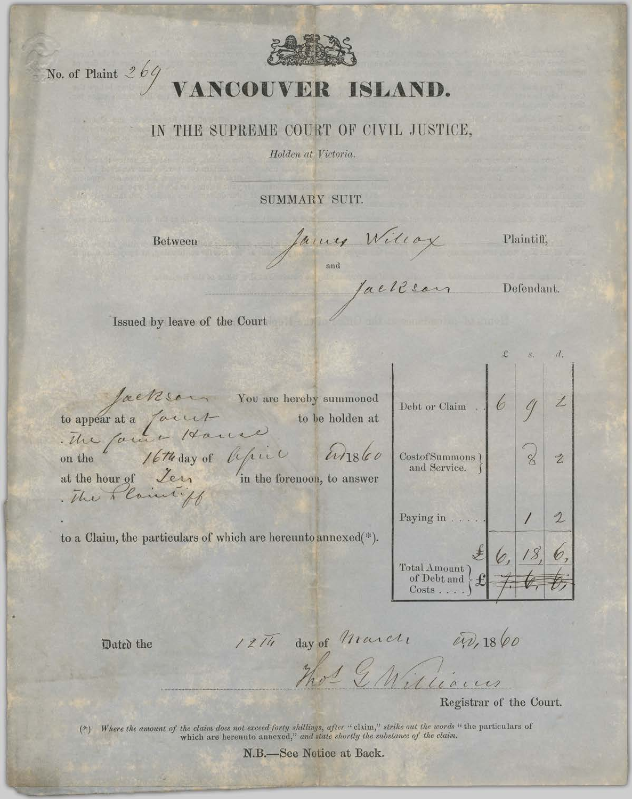

## No. of Plaint  $269$  VANCOUVER ISLAND.

## IN THE SUPREME COURT OF CIVIL JUSTICE,

Holden at Victoria.

SUMMARY SUIT.

Between

James Willox

Plaintiff,

Defendant.

 $d$ .

Issued by leave of the Court

Jackson You are hereby summoned<br>to appear at a fairly<br>the family of the day of life in the forenoon, to answer<br>at the hour of Ler in the forenoon, to answer<br>the Planning

to a Claim, the particulars of which are hereunto annexed(\*).

| Debt or Claim                                    |  |  |
|--------------------------------------------------|--|--|
| CostofSummons)<br>and Service.                   |  |  |
| Paying in.                                       |  |  |
| Total Amount)<br>of Debt and<br>$Costs \ldots$ . |  |  |

Dated the

12Th day of March 0.0, 1860

Registrar of the Court.

(\*) Where the amount of the claim does not exceed forty shillings, after "claim," strike out the words "the particulars of which are hereunto annexed," and state shortly the substance of the claim.

N.B.-See Notice at Back.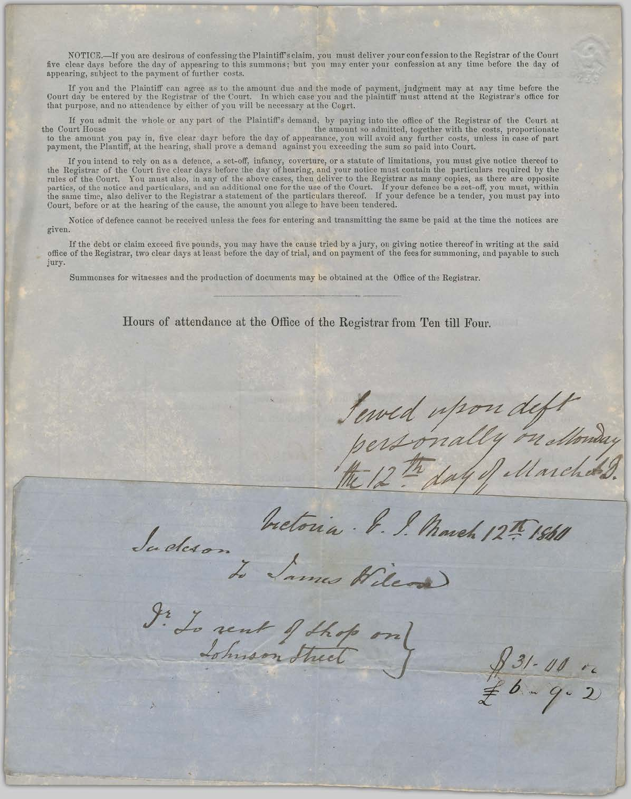NOTICE.-If you are desirous of confessing the Plaintiff's claim, you must deliver your confession to the Registrar of the Court five clear days before the day of appearing to this summons; but you may enter your confession at any time before the day of appearing, subject to the payment of further costs.

If you and the Plaintiff can agree as to the amount due and the mode of payment, judgment may at any time before the<br>Court day be entered by the Registrar of the Court. In which case you and the plaintiff must attend at th

If you admit the whole or any part of the Plaintiff's demand, by paying into the office of the Registrar of the Court at the amount so admitted, together with the costs, proportionate the Court House to the amount you pay in, five clear dayr before the day of appearance, you will avoid any further costs, unless in case of part payment, the Plantiff, at the hearing, shall prove a demand against you exceeding the sum so paid into Court.

If you intend to rely on as a defence, a set-off, infancy, coverture, or a statute of limitations, you must give notice thereof to the Registrar of the Court five clear days before the day of hearing, and your notice must rules of the Court. You must also, in any of the above cases, then deliver to the Registrar as many copies, as there are opposite parties, of the notice and particulars, and an additional one for the use of the Court. If your defence be a set-off, you must, within<br>the same time, also deliver to the Registrar a statement of the particulars thereof. If Court, before or at the hearing of the cause, the amount you allege to have been tendered.

Notice of defence cannot be received unless the fees for entering and transmitting the same be paid at the time the notices are given.

If the debt or claim exceed five pounds, you may have the cause tried by a jury, on giving notice thereof in writing at the said office of the Registrar, two clear days at least before the day of trial, and on payment of the fees for summoning, and payable to such jury.

Summonses for witnesses and the production of documents may be obtained at the Office of the Registrar.

Hours of attendance at the Office of the Registrar from Ten till Four.

Inctoria. S. S. March 12th 1861

Served upon deft<br>personally redsonday

Sudeson y James Wilson

gr. Lo rent of those only

 $231 - 11$